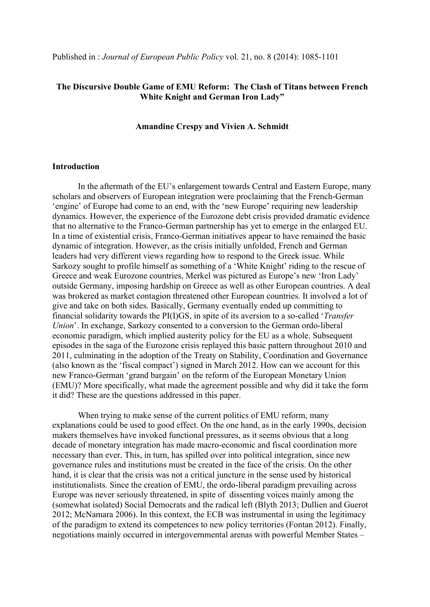# **The Discursive Double Game of EMU Reform: The Clash of Titans between French White Knight and German Iron Lady"**

### **Amandine Crespy and Vivien A. Schmidt**

#### **Introduction**

In the aftermath of the EU's enlargement towards Central and Eastern Europe, many scholars and observers of European integration were proclaiming that the French-German 'engine' of Europe had come to an end, with the 'new Europe' requiring new leadership dynamics. However, the experience of the Eurozone debt crisis provided dramatic evidence that no alternative to the Franco-German partnership has yet to emerge in the enlarged EU. In a time of existential crisis, Franco-German initiatives appear to have remained the basic dynamic of integration. However, as the crisis initially unfolded, French and German leaders had very different views regarding how to respond to the Greek issue. While Sarkozy sought to profile himself as something of a 'White Knight' riding to the rescue of Greece and weak Eurozone countries, Merkel was pictured as Europe's new 'Iron Lady' outside Germany, imposing hardship on Greece as well as other European countries. A deal was brokered as market contagion threatened other European countries. It involved a lot of give and take on both sides. Basically, Germany eventually ended up committing to financial solidarity towards the PI(I)GS, in spite of its aversion to a so-called '*Transfer Union*'. In exchange, Sarkozy consented to a conversion to the German ordo-liberal economic paradigm, which implied austerity policy for the EU as a whole. Subsequent episodes in the saga of the Eurozone crisis replayed this basic pattern throughout 2010 and 2011, culminating in the adoption of the Treaty on Stability, Coordination and Governance (also known as the 'fiscal compact') signed in March 2012. How can we account for this new Franco-German 'grand bargain' on the reform of the European Monetary Union (EMU)? More specifically, what made the agreement possible and why did it take the form it did? These are the questions addressed in this paper.

When trying to make sense of the current politics of EMU reform, many explanations could be used to good effect. On the one hand, as in the early 1990s, decision makers themselves have invoked functional pressures, as it seems obvious that a long decade of monetary integration has made macro-economic and fiscal coordination more necessary than ever. This, in turn, has spilled over into political integration, since new governance rules and institutions must be created in the face of the crisis. On the other hand, it is clear that the crisis was not a critical juncture in the sense used by historical institutionalists. Since the creation of EMU, the ordo-liberal paradigm prevailing across Europe was never seriously threatened, in spite of dissenting voices mainly among the (somewhat isolated) Social Democrats and the radical left (Blyth 2013; Dullien and Guerot 2012; McNamara 2006). In this context, the ECB was instrumental in using the legitimacy of the paradigm to extend its competences to new policy territories (Fontan 2012). Finally, negotiations mainly occurred in intergovernmental arenas with powerful Member States –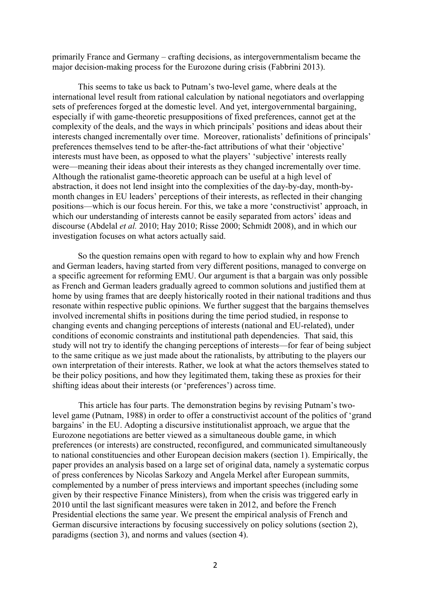primarily France and Germany – crafting decisions, as intergovernmentalism became the major decision-making process for the Eurozone during crisis (Fabbrini 2013).

This seems to take us back to Putnam's two-level game, where deals at the international level result from rational calculation by national negotiators and overlapping sets of preferences forged at the domestic level. And yet, intergovernmental bargaining, especially if with game-theoretic presuppositions of fixed preferences, cannot get at the complexity of the deals, and the ways in which principals' positions and ideas about their interests changed incrementally over time. Moreover, rationalists' definitions of principals' preferences themselves tend to be after-the-fact attributions of what their 'objective' interests must have been, as opposed to what the players' 'subjective' interests really were—meaning their ideas about their interests as they changed incrementally over time. Although the rationalist game-theoretic approach can be useful at a high level of abstraction, it does not lend insight into the complexities of the day-by-day, month-bymonth changes in EU leaders' perceptions of their interests, as reflected in their changing positions—which is our focus herein. For this, we take a more 'constructivist' approach, in which our understanding of interests cannot be easily separated from actors' ideas and discourse (Abdelal *et al.* 2010; Hay 2010; Risse 2000; Schmidt 2008), and in which our investigation focuses on what actors actually said.

So the question remains open with regard to how to explain why and how French and German leaders, having started from very different positions, managed to converge on a specific agreement for reforming EMU. Our argument is that a bargain was only possible as French and German leaders gradually agreed to common solutions and justified them at home by using frames that are deeply historically rooted in their national traditions and thus resonate within respective public opinions. We further suggest that the bargains themselves involved incremental shifts in positions during the time period studied, in response to changing events and changing perceptions of interests (national and EU-related), under conditions of economic constraints and institutional path dependencies. That said, this study will not try to identify the changing perceptions of interests—for fear of being subject to the same critique as we just made about the rationalists, by attributing to the players our own interpretation of their interests. Rather, we look at what the actors themselves stated to be their policy positions, and how they legitimated them, taking these as proxies for their shifting ideas about their interests (or 'preferences') across time.

This article has four parts. The demonstration begins by revising Putnam's twolevel game (Putnam, 1988) in order to offer a constructivist account of the politics of 'grand bargains' in the EU. Adopting a discursive institutionalist approach, we argue that the Eurozone negotiations are better viewed as a simultaneous double game, in which preferences (or interests) are constructed, reconfigured, and communicated simultaneously to national constituencies and other European decision makers (section 1). Empirically, the paper provides an analysis based on a large set of original data, namely a systematic corpus of press conferences by Nicolas Sarkozy and Angela Merkel after European summits, complemented by a number of press interviews and important speeches (including some given by their respective Finance Ministers), from when the crisis was triggered early in 2010 until the last significant measures were taken in 2012, and before the French Presidential elections the same year. We present the empirical analysis of French and German discursive interactions by focusing successively on policy solutions (section 2), paradigms (section 3), and norms and values (section 4).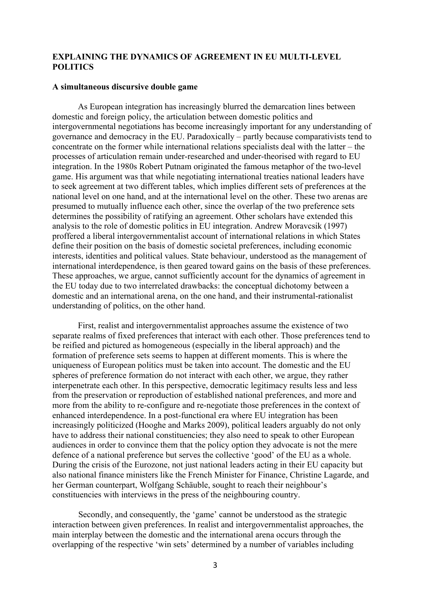# **EXPLAINING THE DYNAMICS OF AGREEMENT IN EU MULTI-LEVEL POLITICS**

#### **A simultaneous discursive double game**

As European integration has increasingly blurred the demarcation lines between domestic and foreign policy, the articulation between domestic politics and intergovernmental negotiations has become increasingly important for any understanding of governance and democracy in the EU. Paradoxically – partly because comparativists tend to concentrate on the former while international relations specialists deal with the latter – the processes of articulation remain under-researched and under-theorised with regard to EU integration. In the 1980s Robert Putnam originated the famous metaphor of the two-level game. His argument was that while negotiating international treaties national leaders have to seek agreement at two different tables, which implies different sets of preferences at the national level on one hand, and at the international level on the other. These two arenas are presumed to mutually influence each other, since the overlap of the two preference sets determines the possibility of ratifying an agreement. Other scholars have extended this analysis to the role of domestic politics in EU integration. Andrew Moravcsik (1997) proffered a liberal intergovernmentalist account of international relations in which States define their position on the basis of domestic societal preferences, including economic interests, identities and political values. State behaviour, understood as the management of international interdependence, is then geared toward gains on the basis of these preferences. These approaches, we argue, cannot sufficiently account for the dynamics of agreement in the EU today due to two interrelated drawbacks: the conceptual dichotomy between a domestic and an international arena, on the one hand, and their instrumental-rationalist understanding of politics, on the other hand.

First, realist and intergovernmentalist approaches assume the existence of two separate realms of fixed preferences that interact with each other. Those preferences tend to be reified and pictured as homogeneous (especially in the liberal approach) and the formation of preference sets seems to happen at different moments. This is where the uniqueness of European politics must be taken into account. The domestic and the EU spheres of preference formation do not interact with each other, we argue, they rather interpenetrate each other. In this perspective, democratic legitimacy results less and less from the preservation or reproduction of established national preferences, and more and more from the ability to re-configure and re-negotiate those preferences in the context of enhanced interdependence. In a post-functional era where EU integration has been increasingly politicized (Hooghe and Marks 2009), political leaders arguably do not only have to address their national constituencies; they also need to speak to other European audiences in order to convince them that the policy option they advocate is not the mere defence of a national preference but serves the collective 'good' of the EU as a whole. During the crisis of the Eurozone, not just national leaders acting in their EU capacity but also national finance ministers like the French Minister for Finance, Christine Lagarde, and her German counterpart, Wolfgang Schäuble, sought to reach their neighbour's constituencies with interviews in the press of the neighbouring country.

Secondly, and consequently, the 'game' cannot be understood as the strategic interaction between given preferences. In realist and intergovernmentalist approaches, the main interplay between the domestic and the international arena occurs through the overlapping of the respective 'win sets' determined by a number of variables including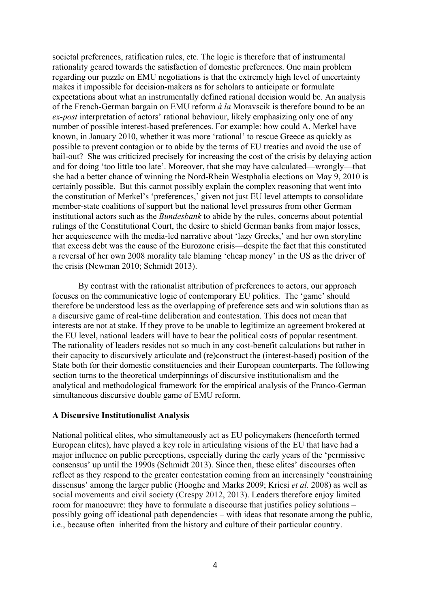societal preferences, ratification rules, etc. The logic is therefore that of instrumental rationality geared towards the satisfaction of domestic preferences. One main problem regarding our puzzle on EMU negotiations is that the extremely high level of uncertainty makes it impossible for decision-makers as for scholars to anticipate or formulate expectations about what an instrumentally defined rational decision would be. An analysis of the French-German bargain on EMU reform *à la* Moravscik is therefore bound to be an *ex-post* interpretation of actors' rational behaviour, likely emphasizing only one of any number of possible interest-based preferences. For example: how could A. Merkel have known, in January 2010, whether it was more 'rational' to rescue Greece as quickly as possible to prevent contagion or to abide by the terms of EU treaties and avoid the use of bail-out? She was criticized precisely for increasing the cost of the crisis by delaying action and for doing 'too little too late'. Moreover, that she may have calculated—wrongly—that she had a better chance of winning the Nord-Rhein Westphalia elections on May 9, 2010 is certainly possible. But this cannot possibly explain the complex reasoning that went into the constitution of Merkel's 'preferences,' given not just EU level attempts to consolidate member-state coalitions of support but the national level pressures from other German institutional actors such as the *Bundesbank* to abide by the rules, concerns about potential rulings of the Constitutional Court, the desire to shield German banks from major losses, her acquiescence with the media-led narrative about 'lazy Greeks,' and her own storyline that excess debt was the cause of the Eurozone crisis—despite the fact that this constituted a reversal of her own 2008 morality tale blaming 'cheap money' in the US as the driver of the crisis (Newman 2010; Schmidt 2013).

By contrast with the rationalist attribution of preferences to actors, our approach focuses on the communicative logic of contemporary EU politics. The 'game' should therefore be understood less as the overlapping of preference sets and win solutions than as a discursive game of real-time deliberation and contestation. This does not mean that interests are not at stake. If they prove to be unable to legitimize an agreement brokered at the EU level, national leaders will have to bear the political costs of popular resentment. The rationality of leaders resides not so much in any cost-benefit calculations but rather in their capacity to discursively articulate and (re)construct the (interest-based) position of the State both for their domestic constituencies and their European counterparts. The following section turns to the theoretical underpinnings of discursive institutionalism and the analytical and methodological framework for the empirical analysis of the Franco-German simultaneous discursive double game of EMU reform.

## **A Discursive Institutionalist Analysis**

National political elites, who simultaneously act as EU policymakers (henceforth termed European elites), have played a key role in articulating visions of the EU that have had a major influence on public perceptions, especially during the early years of the 'permissive consensus' up until the 1990s (Schmidt 2013). Since then, these elites' discourses often reflect as they respond to the greater contestation coming from an increasingly 'constraining dissensus' among the larger public (Hooghe and Marks 2009; Kriesi *et al.* 2008) as well as social movements and civil society (Crespy 2012, 2013). Leaders therefore enjoy limited room for manoeuvre: they have to formulate a discourse that justifies policy solutions – possibly going off ideational path dependencies – with ideas that resonate among the public, i.e., because often inherited from the history and culture of their particular country.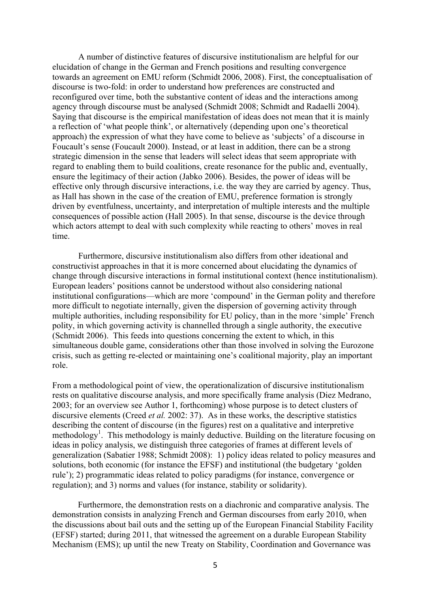A number of distinctive features of discursive institutionalism are helpful for our elucidation of change in the German and French positions and resulting convergence towards an agreement on EMU reform (Schmidt 2006, 2008). First, the conceptualisation of discourse is two-fold: in order to understand how preferences are constructed and reconfigured over time, both the substantive content of ideas and the interactions among agency through discourse must be analysed (Schmidt 2008; Schmidt and Radaelli 2004). Saying that discourse is the empirical manifestation of ideas does not mean that it is mainly a reflection of 'what people think', or alternatively (depending upon one's theoretical approach) the expression of what they have come to believe as 'subjects' of a discourse in Foucault's sense (Foucault 2000). Instead, or at least in addition, there can be a strong strategic dimension in the sense that leaders will select ideas that seem appropriate with regard to enabling them to build coalitions, create resonance for the public and, eventually, ensure the legitimacy of their action (Jabko 2006). Besides, the power of ideas will be effective only through discursive interactions, i.e. the way they are carried by agency. Thus, as Hall has shown in the case of the creation of EMU, preference formation is strongly driven by eventfulness, uncertainty, and interpretation of multiple interests and the multiple consequences of possible action (Hall 2005). In that sense, discourse is the device through which actors attempt to deal with such complexity while reacting to others' moves in real time.

Furthermore, discursive institutionalism also differs from other ideational and constructivist approaches in that it is more concerned about elucidating the dynamics of change through discursive interactions in formal institutional context (hence institutionalism). European leaders' positions cannot be understood without also considering national institutional configurations—which are more 'compound' in the German polity and therefore more difficult to negotiate internally, given the dispersion of governing activity through multiple authorities, including responsibility for EU policy, than in the more 'simple' French polity, in which governing activity is channelled through a single authority, the executive (Schmidt 2006). This feeds into questions concerning the extent to which, in this simultaneous double game, considerations other than those involved in solving the Eurozone crisis, such as getting re-elected or maintaining one's coalitional majority, play an important role.

From a methodological point of view, the operationalization of discursive institutionalism rests on qualitative discourse analysis, and more specifically frame analysis (Diez Medrano, 2003; for an overview see Author 1, forthcoming) whose purpose is to detect clusters of discursive elements (Creed *et al.* 2002: 37). As in these works, the descriptive statistics describing the content of discourse (in the figures) rest on a qualitative and interpretive methodology<sup>1</sup>. This methodology is mainly deductive. Building on the literature focusing on ideas in policy analysis, we distinguish three categories of frames at different levels of generalization (Sabatier 1988; Schmidt 2008): 1) policy ideas related to policy measures and solutions, both economic (for instance the EFSF) and institutional (the budgetary 'golden rule'); 2) programmatic ideas related to policy paradigms (for instance, convergence or regulation); and 3) norms and values (for instance, stability or solidarity).

Furthermore, the demonstration rests on a diachronic and comparative analysis. The demonstration consists in analyzing French and German discourses from early 2010, when the discussions about bail outs and the setting up of the European Financial Stability Facility (EFSF) started; during 2011, that witnessed the agreement on a durable European Stability Mechanism (EMS); up until the new Treaty on Stability, Coordination and Governance was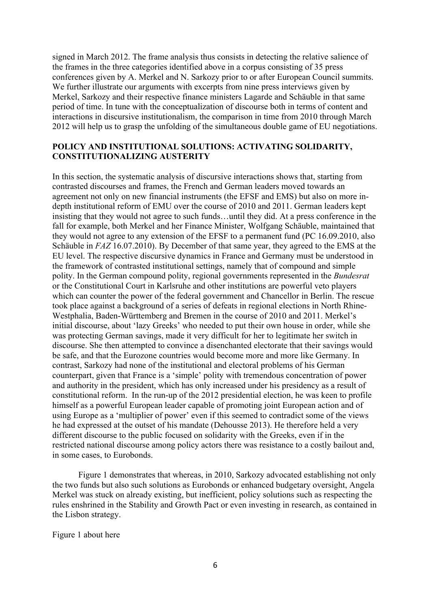signed in March 2012. The frame analysis thus consists in detecting the relative salience of the frames in the three categories identified above in a corpus consisting of 35 press conferences given by A. Merkel and N. Sarkozy prior to or after European Council summits. We further illustrate our arguments with excerpts from nine press interviews given by Merkel, Sarkozy and their respective finance ministers Lagarde and Schäuble in that same period of time. In tune with the conceptualization of discourse both in terms of content and interactions in discursive institutionalism, the comparison in time from 2010 through March 2012 will help us to grasp the unfolding of the simultaneous double game of EU negotiations.

# **POLICY AND INSTITUTIONAL SOLUTIONS: ACTIVATING SOLIDARITY, CONSTITUTIONALIZING AUSTERITY**

In this section, the systematic analysis of discursive interactions shows that, starting from contrasted discourses and frames, the French and German leaders moved towards an agreement not only on new financial instruments (the EFSF and EMS) but also on more indepth institutional reform of EMU over the course of 2010 and 2011. German leaders kept insisting that they would not agree to such funds…until they did. At a press conference in the fall for example, both Merkel and her Finance Minister, Wolfgang Schäuble, maintained that they would not agree to any extension of the EFSF to a permanent fund (PC 16.09.2010, also Schäuble in *FAZ* 16.07.2010). By December of that same year, they agreed to the EMS at the EU level. The respective discursive dynamics in France and Germany must be understood in the framework of contrasted institutional settings, namely that of compound and simple polity. In the German compound polity, regional governments represented in the *Bundesrat*  or the Constitutional Court in Karlsruhe and other institutions are powerful veto players which can counter the power of the federal government and Chancellor in Berlin. The rescue took place against a background of a series of defeats in regional elections in North Rhine-Westphalia, Baden-Württemberg and Bremen in the course of 2010 and 2011. Merkel's initial discourse, about 'lazy Greeks' who needed to put their own house in order, while she was protecting German savings, made it very difficult for her to legitimate her switch in discourse. She then attempted to convince a disenchanted electorate that their savings would be safe, and that the Eurozone countries would become more and more like Germany. In contrast, Sarkozy had none of the institutional and electoral problems of his German counterpart, given that France is a 'simple' polity with tremendous concentration of power and authority in the president, which has only increased under his presidency as a result of constitutional reform. In the run-up of the 2012 presidential election, he was keen to profile himself as a powerful European leader capable of promoting joint European action and of using Europe as a 'multiplier of power' even if this seemed to contradict some of the views he had expressed at the outset of his mandate (Dehousse 2013). He therefore held a very different discourse to the public focused on solidarity with the Greeks, even if in the restricted national discourse among policy actors there was resistance to a costly bailout and, in some cases, to Eurobonds.

Figure 1 demonstrates that whereas, in 2010, Sarkozy advocated establishing not only the two funds but also such solutions as Eurobonds or enhanced budgetary oversight, Angela Merkel was stuck on already existing, but inefficient, policy solutions such as respecting the rules enshrined in the Stability and Growth Pact or even investing in research, as contained in the Lisbon strategy.

Figure 1 about here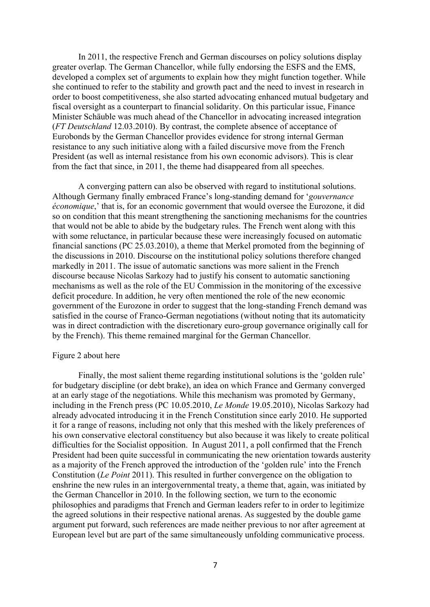In 2011, the respective French and German discourses on policy solutions display greater overlap. The German Chancellor, while fully endorsing the ESFS and the EMS, developed a complex set of arguments to explain how they might function together. While she continued to refer to the stability and growth pact and the need to invest in research in order to boost competitiveness, she also started advocating enhanced mutual budgetary and fiscal oversight as a counterpart to financial solidarity. On this particular issue, Finance Minister Schäuble was much ahead of the Chancellor in advocating increased integration (*FT Deutschland* 12.03.2010). By contrast, the complete absence of acceptance of Eurobonds by the German Chancellor provides evidence for strong internal German resistance to any such initiative along with a failed discursive move from the French President (as well as internal resistance from his own economic advisors). This is clear from the fact that since, in 2011, the theme had disappeared from all speeches.

A converging pattern can also be observed with regard to institutional solutions. Although Germany finally embraced France's long-standing demand for '*gouvernance économique*,' that is, for an economic government that would oversee the Eurozone, it did so on condition that this meant strengthening the sanctioning mechanisms for the countries that would not be able to abide by the budgetary rules. The French went along with this with some reluctance, in particular because these were increasingly focused on automatic financial sanctions (PC 25.03.2010), a theme that Merkel promoted from the beginning of the discussions in 2010. Discourse on the institutional policy solutions therefore changed markedly in 2011. The issue of automatic sanctions was more salient in the French discourse because Nicolas Sarkozy had to justify his consent to automatic sanctioning mechanisms as well as the role of the EU Commission in the monitoring of the excessive deficit procedure. In addition, he very often mentioned the role of the new economic government of the Eurozone in order to suggest that the long-standing French demand was satisfied in the course of Franco-German negotiations (without noting that its automaticity was in direct contradiction with the discretionary euro-group governance originally call for by the French). This theme remained marginal for the German Chancellor.

#### Figure 2 about here

Finally, the most salient theme regarding institutional solutions is the 'golden rule' for budgetary discipline (or debt brake), an idea on which France and Germany converged at an early stage of the negotiations. While this mechanism was promoted by Germany, including in the French press (PC 10.05.2010, *Le Monde* 19.05.2010), Nicolas Sarkozy had already advocated introducing it in the French Constitution since early 2010. He supported it for a range of reasons, including not only that this meshed with the likely preferences of his own conservative electoral constituency but also because it was likely to create political difficulties for the Socialist opposition. In August 2011, a poll confirmed that the French President had been quite successful in communicating the new orientation towards austerity as a majority of the French approved the introduction of the 'golden rule' into the French Constitution (*Le Point* 2011). This resulted in further convergence on the obligation to enshrine the new rules in an intergovernmental treaty, a theme that, again, was initiated by the German Chancellor in 2010. In the following section, we turn to the economic philosophies and paradigms that French and German leaders refer to in order to legitimize the agreed solutions in their respective national arenas. As suggested by the double game argument put forward, such references are made neither previous to nor after agreement at European level but are part of the same simultaneously unfolding communicative process.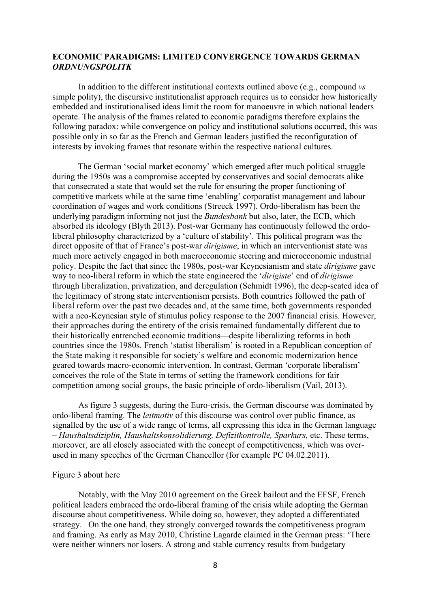### **ECONOMIC PARADIGMS: LIMITED CONVERGENCE TOWARDS GERMAN**  *ORDNUNGSPOLITK*

In addition to the different institutional contexts outlined above (e.g., compound *vs*  simple polity), the discursive institutionalist approach requires us to consider how historically embedded and institutionalised ideas limit the room for manoeuvre in which national leaders operate. The analysis of the frames related to economic paradigms therefore explains the following paradox: while convergence on policy and institutional solutions occurred, this was possible only in so far as the French and German leaders justified the reconfiguration of interests by invoking frames that resonate within the respective national cultures.

The German 'social market economy' which emerged after much political struggle during the 1950s was a compromise accepted by conservatives and social democrats alike that consecrated a state that would set the rule for ensuring the proper functioning of competitive markets while at the same time 'enabling' corporatist management and labour coordination of wages and work conditions (Streeck 1997). Ordo-liberalism has been the underlying paradigm informing not just the *Bundesbank* but also, later, the ECB, which absorbed its ideology (Blyth 2013). Post-war Germany has continuously followed the ordoliberal philosophy characterized by a 'culture of stability'. This political program was the direct opposite of that of France's post-war *dirigisme*, in which an interventionist state was much more actively engaged in both macroeconomic steering and microeconomic industrial policy. Despite the fact that since the 1980s, post-war Keynesianism and state *dirigisme* gave way to neo-liberal reform in which the state engineered the '*dirigiste*' end of *dirigisme* through liberalization, privatization, and deregulation (Schmidt 1996), the deep-seated idea of the legitimacy of strong state interventionism persists. Both countries followed the path of liberal reform over the past two decades and, at the same time, both governments responded with a neo-Keynesian style of stimulus policy response to the 2007 financial crisis. However, their approaches during the entirety of the crisis remained fundamentally different due to their historically entrenched economic traditions—despite liberalizing reforms in both countries since the 1980s. French 'statist liberalism' is rooted in a Republican conception of the State making it responsible for society's welfare and economic modernization hence geared towards macro-economic intervention. In contrast, German 'corporate liberalism' conceives the role of the State in terms of setting the framework conditions for fair competition among social groups, the basic principle of ordo-liberalism (Vail, 2013).

As figure 3 suggests, during the Euro-crisis, the German discourse was dominated by ordo-liberal framing. The *leitmotiv* of this discourse was control over public finance, as signalled by the use of a wide range of terms, all expressing this idea in the German language – *Haushaltsdiziplin, Haushaltskonsolidierung, Defizitkontrolle, Sparkurs,* etc. These terms, moreover, are all closely associated with the concept of competitiveness, which was overused in many speeches of the German Chancellor (for example PC 04.02.2011).

### Figure 3 about here

Notably, with the May 2010 agreement on the Greek bailout and the EFSF, French political leaders embraced the ordo-liberal framing of the crisis while adopting the German discourse about competitiveness. While doing so, however, they adopted a differentiated strategy. On the one hand, they strongly converged towards the competitiveness program and framing. As early as May 2010, Christine Lagarde claimed in the German press: 'There were neither winners nor losers. A strong and stable currency results from budgetary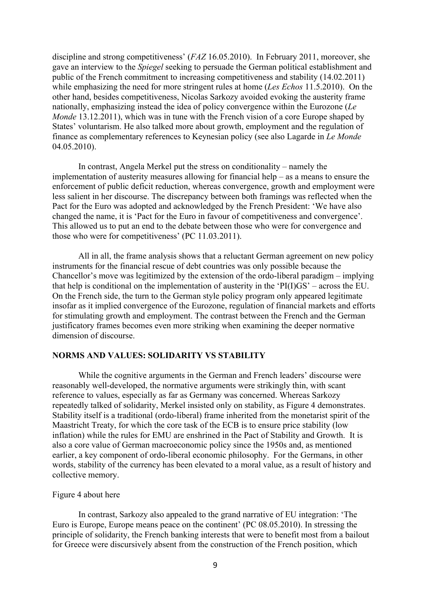discipline and strong competitiveness' (*FAZ* 16.05.2010). In February 2011, moreover, she gave an interview to the *Spiegel* seeking to persuade the German political establishment and public of the French commitment to increasing competitiveness and stability (14.02.2011) while emphasizing the need for more stringent rules at home (*Les Echos* 11.5.2010). On the other hand, besides competitiveness, Nicolas Sarkozy avoided evoking the austerity frame nationally, emphasizing instead the idea of policy convergence within the Eurozone (*Le Monde* 13.12.2011), which was in tune with the French vision of a core Europe shaped by States' voluntarism. He also talked more about growth, employment and the regulation of finance as complementary references to Keynesian policy (see also Lagarde in *Le Monde*  04.05.2010).

In contrast, Angela Merkel put the stress on conditionality – namely the implementation of austerity measures allowing for financial help – as a means to ensure the enforcement of public deficit reduction, whereas convergence, growth and employment were less salient in her discourse. The discrepancy between both framings was reflected when the Pact for the Euro was adopted and acknowledged by the French President: 'We have also changed the name, it is 'Pact for the Euro in favour of competitiveness and convergence'. This allowed us to put an end to the debate between those who were for convergence and those who were for competitiveness' (PC 11.03.2011).

All in all, the frame analysis shows that a reluctant German agreement on new policy instruments for the financial rescue of debt countries was only possible because the Chancellor's move was legitimized by the extension of the ordo-liberal paradigm – implying that help is conditional on the implementation of austerity in the 'PI(I)GS' – across the EU. On the French side, the turn to the German style policy program only appeared legitimate insofar as it implied convergence of the Eurozone, regulation of financial markets and efforts for stimulating growth and employment. The contrast between the French and the German justificatory frames becomes even more striking when examining the deeper normative dimension of discourse.

# **NORMS AND VALUES: SOLIDARITY VS STABILITY**

While the cognitive arguments in the German and French leaders' discourse were reasonably well-developed, the normative arguments were strikingly thin, with scant reference to values, especially as far as Germany was concerned. Whereas Sarkozy repeatedly talked of solidarity, Merkel insisted only on stability, as Figure 4 demonstrates. Stability itself is a traditional (ordo-liberal) frame inherited from the monetarist spirit of the Maastricht Treaty, for which the core task of the ECB is to ensure price stability (low inflation) while the rules for EMU are enshrined in the Pact of Stability and Growth. It is also a core value of German macroeconomic policy since the 1950s and, as mentioned earlier, a key component of ordo-liberal economic philosophy. For the Germans, in other words, stability of the currency has been elevated to a moral value, as a result of history and collective memory.

#### Figure 4 about here

In contrast, Sarkozy also appealed to the grand narrative of EU integration: 'The Euro is Europe, Europe means peace on the continent' (PC 08.05.2010). In stressing the principle of solidarity, the French banking interests that were to benefit most from a bailout for Greece were discursively absent from the construction of the French position, which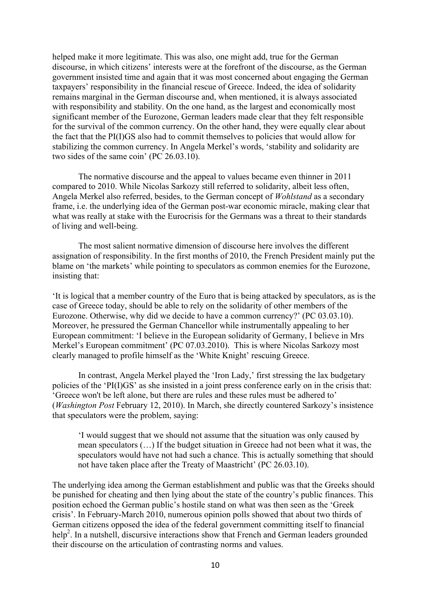helped make it more legitimate. This was also, one might add, true for the German discourse, in which citizens' interests were at the forefront of the discourse, as the German government insisted time and again that it was most concerned about engaging the German taxpayers' responsibility in the financial rescue of Greece. Indeed, the idea of solidarity remains marginal in the German discourse and, when mentioned, it is always associated with responsibility and stability. On the one hand, as the largest and economically most significant member of the Eurozone, German leaders made clear that they felt responsible for the survival of the common currency. On the other hand, they were equally clear about the fact that the PI(I)GS also had to commit themselves to policies that would allow for stabilizing the common currency. In Angela Merkel's words, 'stability and solidarity are two sides of the same coin' (PC 26.03.10).

The normative discourse and the appeal to values became even thinner in 2011 compared to 2010. While Nicolas Sarkozy still referred to solidarity, albeit less often, Angela Merkel also referred, besides, to the German concept of *Wohlstand* as a secondary frame, i.e. the underlying idea of the German post-war economic miracle, making clear that what was really at stake with the Eurocrisis for the Germans was a threat to their standards of living and well-being.

The most salient normative dimension of discourse here involves the different assignation of responsibility. In the first months of 2010, the French President mainly put the blame on 'the markets' while pointing to speculators as common enemies for the Eurozone, insisting that:

'It is logical that a member country of the Euro that is being attacked by speculators, as is the case of Greece today, should be able to rely on the solidarity of other members of the Eurozone. Otherwise, why did we decide to have a common currency?' (PC 03.03.10). Moreover, he pressured the German Chancellor while instrumentally appealing to her European commitment: 'I believe in the European solidarity of Germany, I believe in Mrs Merkel's European commitment' (PC 07.03.2010). This is where Nicolas Sarkozy most clearly managed to profile himself as the 'White Knight' rescuing Greece.

In contrast, Angela Merkel played the 'Iron Lady,' first stressing the lax budgetary policies of the 'PI(I)GS' as she insisted in a joint press conference early on in the crisis that: 'Greece won't be left alone, but there are rules and these rules must be adhered to' (*Washington Post* February 12, 2010). In March, she directly countered Sarkozy's insistence that speculators were the problem, saying:

'I would suggest that we should not assume that the situation was only caused by mean speculators (…) If the budget situation in Greece had not been what it was, the speculators would have not had such a chance. This is actually something that should not have taken place after the Treaty of Maastricht' (PC 26.03.10).

The underlying idea among the German establishment and public was that the Greeks should be punished for cheating and then lying about the state of the country's public finances. This position echoed the German public's hostile stand on what was then seen as the 'Greek crisis'. In February-March 2010, numerous opinion polls showed that about two thirds of German citizens opposed the idea of the federal government committing itself to financial help<sup>2</sup>. In a nutshell, discursive interactions show that French and German leaders grounded their discourse on the articulation of contrasting norms and values.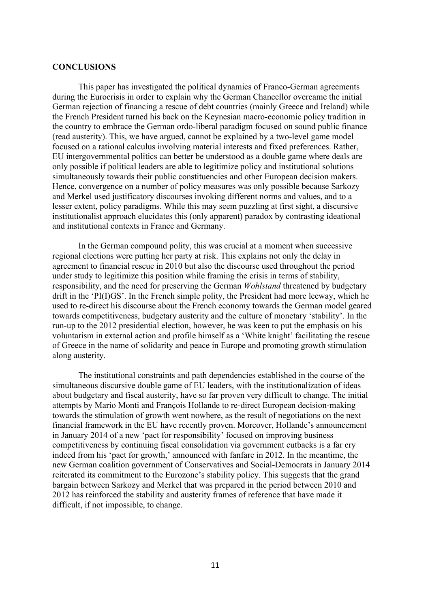### **CONCLUSIONS**

This paper has investigated the political dynamics of Franco-German agreements during the Eurocrisis in order to explain why the German Chancellor overcame the initial German rejection of financing a rescue of debt countries (mainly Greece and Ireland) while the French President turned his back on the Keynesian macro-economic policy tradition in the country to embrace the German ordo-liberal paradigm focused on sound public finance (read austerity). This, we have argued, cannot be explained by a two-level game model focused on a rational calculus involving material interests and fixed preferences. Rather, EU intergovernmental politics can better be understood as a double game where deals are only possible if political leaders are able to legitimize policy and institutional solutions simultaneously towards their public constituencies and other European decision makers. Hence, convergence on a number of policy measures was only possible because Sarkozy and Merkel used justificatory discourses invoking different norms and values, and to a lesser extent, policy paradigms. While this may seem puzzling at first sight, a discursive institutionalist approach elucidates this (only apparent) paradox by contrasting ideational and institutional contexts in France and Germany.

In the German compound polity, this was crucial at a moment when successive regional elections were putting her party at risk. This explains not only the delay in agreement to financial rescue in 2010 but also the discourse used throughout the period under study to legitimize this position while framing the crisis in terms of stability, responsibility, and the need for preserving the German *Wohlstand* threatened by budgetary drift in the 'PI(I)GS'. In the French simple polity, the President had more leeway, which he used to re-direct his discourse about the French economy towards the German model geared towards competitiveness, budgetary austerity and the culture of monetary 'stability'. In the run-up to the 2012 presidential election, however, he was keen to put the emphasis on his voluntarism in external action and profile himself as a 'White knight' facilitating the rescue of Greece in the name of solidarity and peace in Europe and promoting growth stimulation along austerity.

The institutional constraints and path dependencies established in the course of the simultaneous discursive double game of EU leaders, with the institutionalization of ideas about budgetary and fiscal austerity, have so far proven very difficult to change. The initial attempts by Mario Monti and François Hollande to re-direct European decision-making towards the stimulation of growth went nowhere, as the result of negotiations on the next financial framework in the EU have recently proven. Moreover, Hollande's announcement in January 2014 of a new 'pact for responsibility' focused on improving business competitiveness by continuing fiscal consolidation via government cutbacks is a far cry indeed from his 'pact for growth,' announced with fanfare in 2012. In the meantime, the new German coalition government of Conservatives and Social-Democrats in January 2014 reiterated its commitment to the Eurozone's stability policy. This suggests that the grand bargain between Sarkozy and Merkel that was prepared in the period between 2010 and 2012 has reinforced the stability and austerity frames of reference that have made it difficult, if not impossible, to change.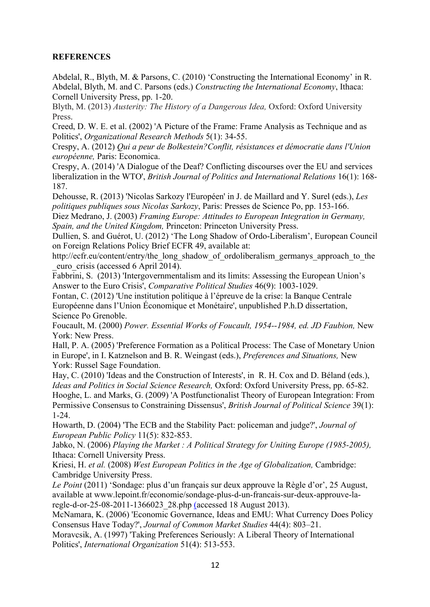# **REFERENCES**

Abdelal, R., Blyth, M. & Parsons, C. (2010) 'Constructing the International Economy' in R. Abdelal, Blyth, M. and C. Parsons (eds.) *Constructing the International Economy*, Ithaca: Cornell University Press, pp. 1-20.

Blyth, M. (2013) *Austerity: The History of a Dangerous Idea,* Oxford: Oxford University Press.

Creed, D. W. E. et al. (2002) 'A Picture of the Frame: Frame Analysis as Technique and as Politics', *Organizational Research Methods* 5(1): 34-55.

Crespy, A. (2012) *Qui a peur de Bolkestein?Conflit, résistances et démocratie dans l'Union européenne,* Paris: Economica.

Crespy, A. (2014) 'A Dialogue of the Deaf? Conflicting discourses over the EU and services liberalization in the WTO', *British Journal of Politics and International Relations* 16(1): 168- 187.

Dehousse, R. (2013) 'Nicolas Sarkozy l'Européen' in J. de Maillard and Y. Surel (eds.), *Les politiques publiques sous Nicolas Sarkozy*, Paris: Presses de Science Po, pp. 153-166.

Diez Medrano, J. (2003) *Framing Europe: Attitudes to European Integration in Germany, Spain, and the United Kingdom,* Princeton: Princeton University Press.

Dullien, S. and Guérot, U. (2012) 'The Long Shadow of Ordo-Liberalism', European Council on Foreign Relations Policy Brief ECFR 49, available at:

http://ecfr.eu/content/entry/the\_long\_shadow\_of\_ordoliberalism\_germanys\_approach\_to\_the euro crisis (accessed 6 April 2014).

Fabbrini, S. (2013) 'Intergovernmentalism and its limits: Assessing the European Union's Answer to the Euro Crisis', *Comparative Political Studies* 46(9): 1003-1029.

Fontan, C. (2012) 'Une institution politique à l'épreuve de la crise: la Banque Centrale Européenne dans l'Union Économique et Monétaire', unpublished P.h.D dissertation, Science Po Grenoble.

Foucault, M. (2000) *Power. Essential Works of Foucault, 1954--1984, ed. JD Faubion,* New York: New Press.

Hall, P. A. (2005) 'Preference Formation as a Political Process: The Case of Monetary Union in Europe', in I. Katznelson and B. R. Weingast (eds.), *Preferences and Situations,* New York: Russel Sage Foundation.

Hay, C. (2010) 'Ideas and the Construction of Interests', in R. H. Cox and D. Béland (eds.), *Ideas and Politics in Social Science Research,* Oxford: Oxford University Press, pp. 65-82. Hooghe, L. and Marks, G. (2009) 'A Postfunctionalist Theory of European Integration: From Permissive Consensus to Constraining Dissensus', *British Journal of Political Science* 39(1): 1-24.

Howarth, D. (2004) 'The ECB and the Stability Pact: policeman and judge?', *Journal of European Public Policy* 11(5): 832-853.

Jabko, N. (2006) *Playing the Market : A Political Strategy for Uniting Europe (1985-2005),*  Ithaca: Cornell University Press.

Kriesi, H. *et al.* (2008) *West European Politics in the Age of Globalization,* Cambridge: Cambridge University Press.

*Le Point* (2011) 'Sondage: plus d'un français sur deux approuve la Règle d'or', 25 August, available at www.lepoint.fr/economie/sondage-plus-d-un-francais-sur-deux-approuve-laregle-d-or-25-08-2011-1366023\_28.php (accessed 18 August 2013).

McNamara, K. (2006) 'Economic Governance, Ideas and EMU: What Currency Does Policy Consensus Have Today?', *Journal of Common Market Studies* 44(4): 803–21.

Moravcsik, A. (1997) 'Taking Preferences Seriously: A Liberal Theory of International Politics', *International Organization* 51(4): 513-553.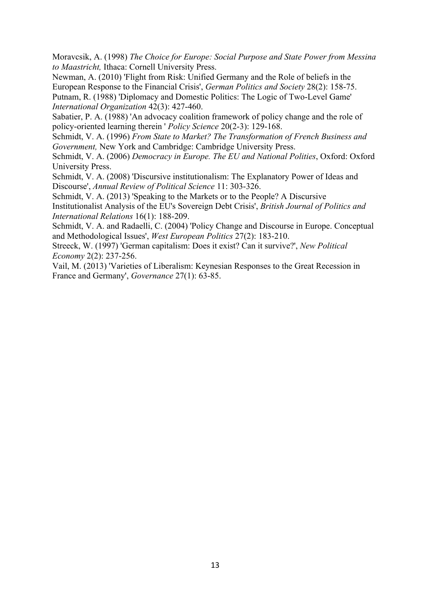Moravcsik, A. (1998) *The Choice for Europe: Social Purpose and State Power from Messina to Maastricht,* Ithaca: Cornell University Press.

Newman, A. (2010) 'Flight from Risk: Unified Germany and the Role of beliefs in the European Response to the Financial Crisis', *German Politics and Society* 28(2): 158-75. Putnam, R. (1988) 'Diplomacy and Domestic Politics: The Logic of Two-Level Game' *International Organization* 42(3): 427-460.

Sabatier, P. A. (1988) 'An advocacy coalition framework of policy change and the role of policy-oriented learning therein ' *Policy Science* 20(2-3): 129-168.

Schmidt, V. A. (1996) *From State to Market? The Transformation of French Business and Government,* New York and Cambridge: Cambridge University Press.

Schmidt, V. A. (2006) *Democracy in Europe. The EU and National Polities*, Oxford: Oxford University Press.

Schmidt, V. A. (2008) 'Discursive institutionalism: The Explanatory Power of Ideas and Discourse', *Annual Review of Political Science* 11: 303-326.

Schmidt, V. A. (2013) 'Speaking to the Markets or to the People? A Discursive

Institutionalist Analysis of the EU's Sovereign Debt Crisis', *British Journal of Politics and International Relations* 16(1): 188-209.

Schmidt, V. A. and Radaelli, C. (2004) 'Policy Change and Discourse in Europe. Conceptual and Methodological Issues', *West European Politics* 27(2): 183-210.

Streeck, W. (1997) 'German capitalism: Does it exist? Can it survive?', *New Political Economy* 2(2): 237-256.

Vail, M. (2013) 'Varieties of Liberalism: Keynesian Responses to the Great Recession in France and Germany', *Governance* 27(1): 63-85.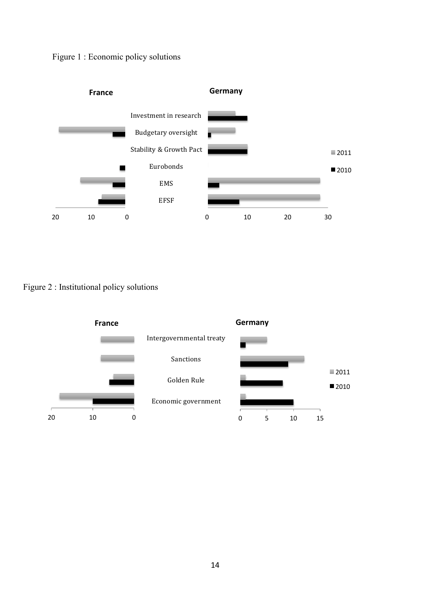



Figure 2 : Institutional policy solutions

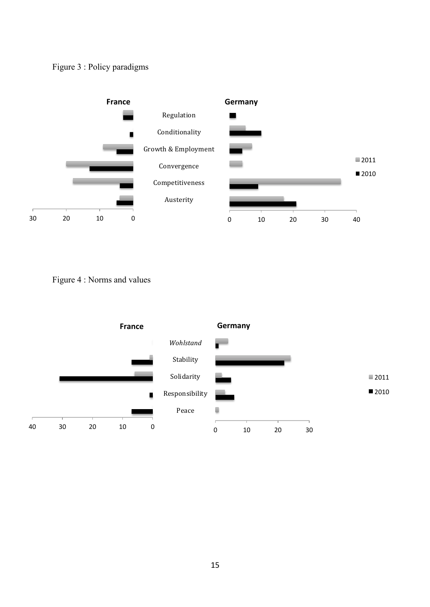



Figure 4 : Norms and values